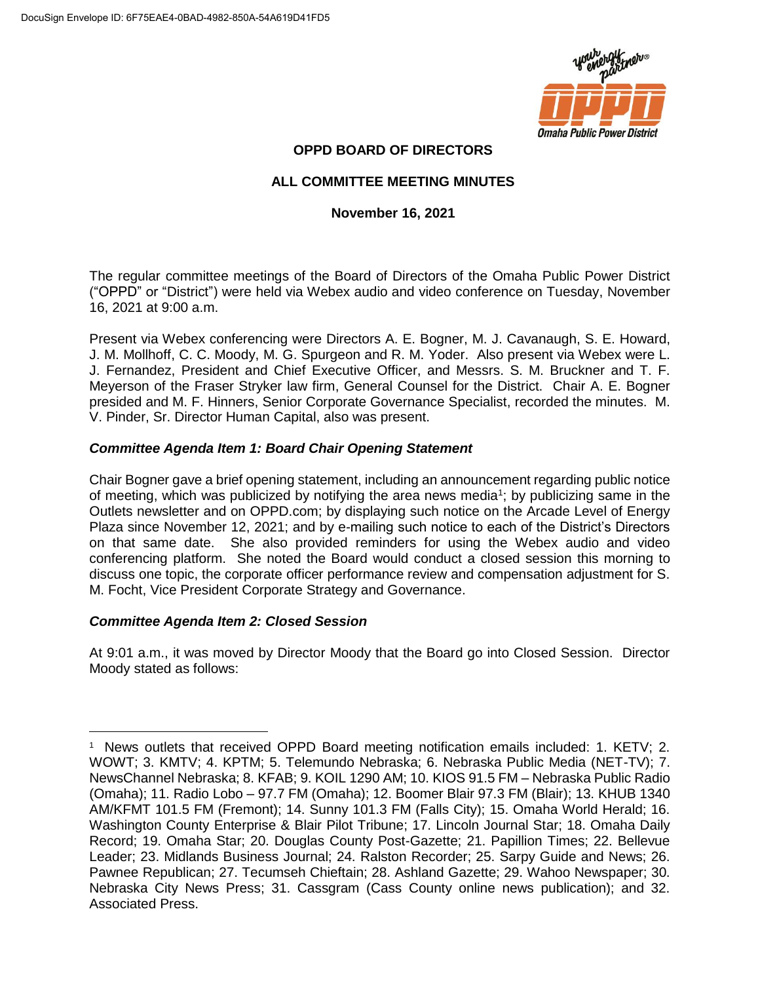

## **OPPD BOARD OF DIRECTORS**

## **ALL COMMITTEE MEETING MINUTES**

### **November 16, 2021**

The regular committee meetings of the Board of Directors of the Omaha Public Power District ("OPPD" or "District") were held via Webex audio and video conference on Tuesday, November 16, 2021 at 9:00 a.m.

Present via Webex conferencing were Directors A. E. Bogner, M. J. Cavanaugh, S. E. Howard, J. M. Mollhoff, C. C. Moody, M. G. Spurgeon and R. M. Yoder. Also present via Webex were L. J. Fernandez, President and Chief Executive Officer, and Messrs. S. M. Bruckner and T. F. Meyerson of the Fraser Stryker law firm, General Counsel for the District. Chair A. E. Bogner presided and M. F. Hinners, Senior Corporate Governance Specialist, recorded the minutes. M. V. Pinder, Sr. Director Human Capital, also was present.

### *Committee Agenda Item 1: Board Chair Opening Statement*

Chair Bogner gave a brief opening statement, including an announcement regarding public notice of meeting, which was publicized by notifying the area news media<sup>1</sup>; by publicizing same in the Outlets newsletter and on OPPD.com; by displaying such notice on the Arcade Level of Energy Plaza since November 12, 2021; and by e-mailing such notice to each of the District's Directors on that same date. She also provided reminders for using the Webex audio and video conferencing platform. She noted the Board would conduct a closed session this morning to discuss one topic, the corporate officer performance review and compensation adjustment for S. M. Focht, Vice President Corporate Strategy and Governance.

#### *Committee Agenda Item 2: Closed Session*

At 9:01 a.m., it was moved by Director Moody that the Board go into Closed Session. Director Moody stated as follows:

 $\overline{a}$ <sup>1</sup> News outlets that received OPPD Board meeting notification emails included: 1. KETV; 2. WOWT; 3. KMTV; 4. KPTM; 5. Telemundo Nebraska; 6. Nebraska Public Media (NET-TV); 7. NewsChannel Nebraska; 8. KFAB; 9. KOIL 1290 AM; 10. KIOS 91.5 FM – Nebraska Public Radio (Omaha); 11. Radio Lobo – 97.7 FM (Omaha); 12. Boomer Blair 97.3 FM (Blair); 13. KHUB 1340 AM/KFMT 101.5 FM (Fremont); 14. Sunny 101.3 FM (Falls City); 15. Omaha World Herald; 16. Washington County Enterprise & Blair Pilot Tribune; 17. Lincoln Journal Star; 18. Omaha Daily Record; 19. Omaha Star; 20. Douglas County Post-Gazette; 21. Papillion Times; 22. Bellevue Leader; 23. Midlands Business Journal; 24. Ralston Recorder; 25. Sarpy Guide and News; 26. Pawnee Republican; 27. Tecumseh Chieftain; 28. Ashland Gazette; 29. Wahoo Newspaper; 30. Nebraska City News Press; 31. Cassgram (Cass County online news publication); and 32. Associated Press.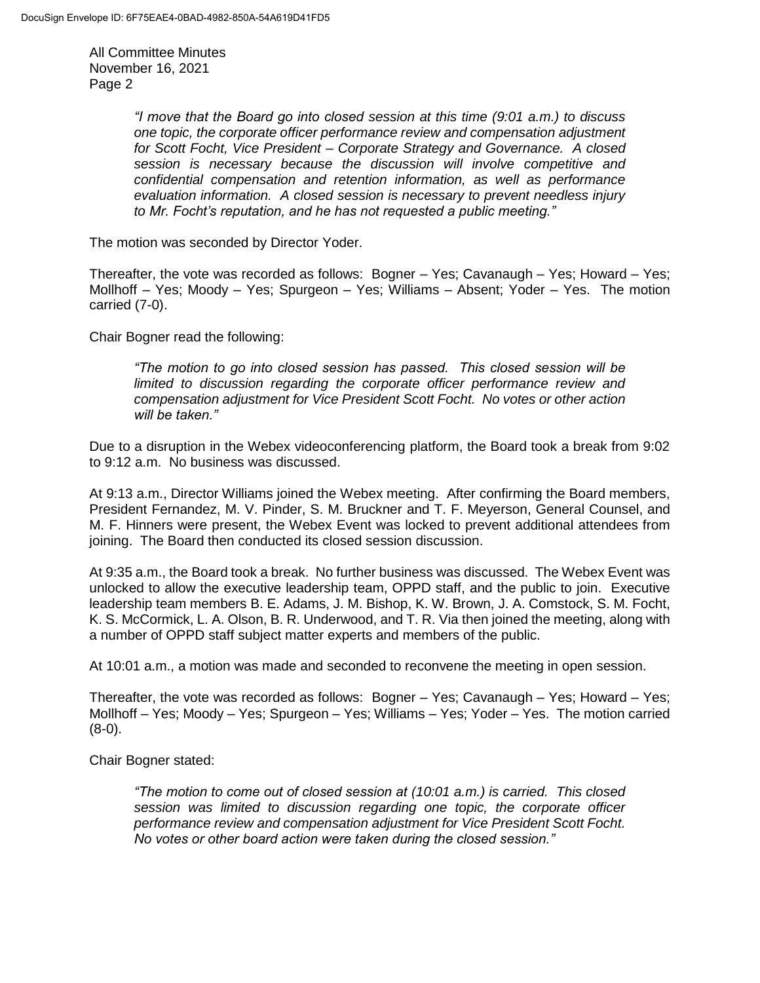> *"I move that the Board go into closed session at this time (9:01 a.m.) to discuss one topic, the corporate officer performance review and compensation adjustment for Scott Focht, Vice President – Corporate Strategy and Governance. A closed session is necessary because the discussion will involve competitive and confidential compensation and retention information, as well as performance evaluation information. A closed session is necessary to prevent needless injury to Mr. Focht's reputation, and he has not requested a public meeting."*

The motion was seconded by Director Yoder.

Thereafter, the vote was recorded as follows: Bogner – Yes; Cavanaugh – Yes; Howard – Yes; Mollhoff – Yes; Moody – Yes; Spurgeon – Yes; Williams – Absent; Yoder – Yes. The motion carried (7-0).

Chair Bogner read the following:

*"The motion to go into closed session has passed. This closed session will be limited to discussion regarding the corporate officer performance review and compensation adjustment for Vice President Scott Focht. No votes or other action will be taken."*

Due to a disruption in the Webex videoconferencing platform, the Board took a break from 9:02 to 9:12 a.m. No business was discussed.

At 9:13 a.m., Director Williams joined the Webex meeting. After confirming the Board members, President Fernandez, M. V. Pinder, S. M. Bruckner and T. F. Meyerson, General Counsel, and M. F. Hinners were present, the Webex Event was locked to prevent additional attendees from joining. The Board then conducted its closed session discussion.

At 9:35 a.m., the Board took a break. No further business was discussed. The Webex Event was unlocked to allow the executive leadership team, OPPD staff, and the public to join. Executive leadership team members B. E. Adams, J. M. Bishop, K. W. Brown, J. A. Comstock, S. M. Focht, K. S. McCormick, L. A. Olson, B. R. Underwood, and T. R. Via then joined the meeting, along with a number of OPPD staff subject matter experts and members of the public.

At 10:01 a.m., a motion was made and seconded to reconvene the meeting in open session.

Thereafter, the vote was recorded as follows: Bogner – Yes; Cavanaugh – Yes; Howard – Yes; Mollhoff – Yes; Moody – Yes; Spurgeon – Yes; Williams – Yes; Yoder – Yes. The motion carried (8-0).

Chair Bogner stated:

*"The motion to come out of closed session at (10:01 a.m.) is carried. This closed session was limited to discussion regarding one topic, the corporate officer performance review and compensation adjustment for Vice President Scott Focht. No votes or other board action were taken during the closed session."*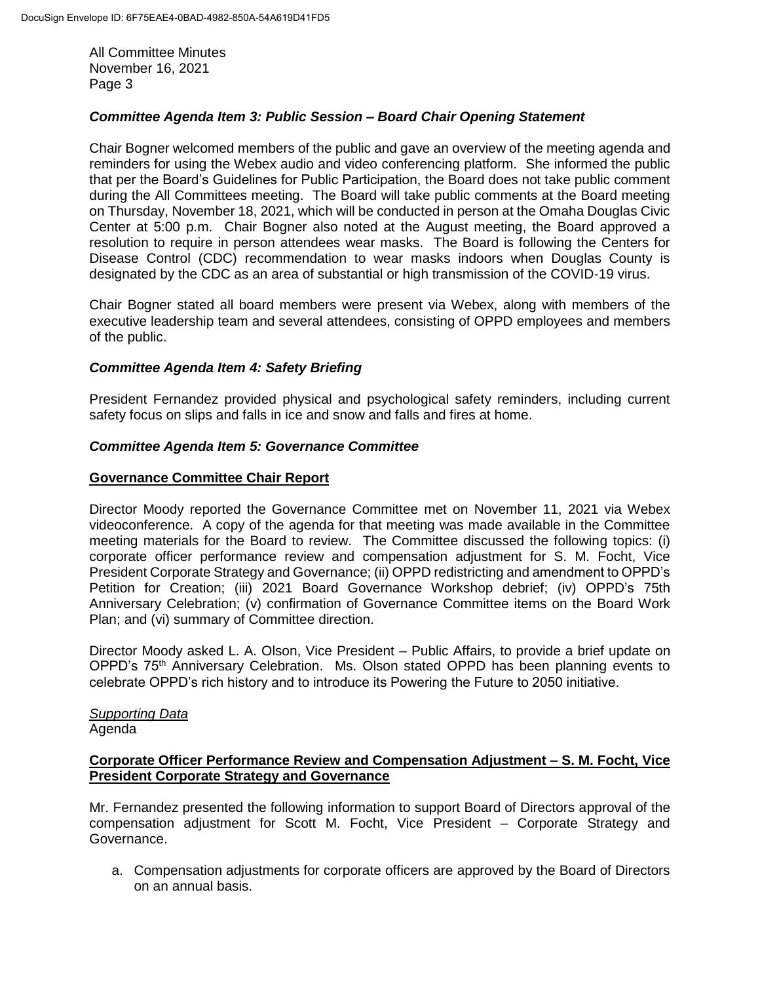## *Committee Agenda Item 3: Public Session – Board Chair Opening Statement*

Chair Bogner welcomed members of the public and gave an overview of the meeting agenda and reminders for using the Webex audio and video conferencing platform. She informed the public that per the Board's Guidelines for Public Participation, the Board does not take public comment during the All Committees meeting. The Board will take public comments at the Board meeting on Thursday, November 18, 2021, which will be conducted in person at the Omaha Douglas Civic Center at 5:00 p.m. Chair Bogner also noted at the August meeting, the Board approved a resolution to require in person attendees wear masks. The Board is following the Centers for Disease Control (CDC) recommendation to wear masks indoors when Douglas County is designated by the CDC as an area of substantial or high transmission of the COVID-19 virus.

Chair Bogner stated all board members were present via Webex, along with members of the executive leadership team and several attendees, consisting of OPPD employees and members of the public.

## *Committee Agenda Item 4: Safety Briefing*

President Fernandez provided physical and psychological safety reminders, including current safety focus on slips and falls in ice and snow and falls and fires at home.

### *Committee Agenda Item 5: Governance Committee*

#### **Governance Committee Chair Report**

Director Moody reported the Governance Committee met on November 11, 2021 via Webex videoconference. A copy of the agenda for that meeting was made available in the Committee meeting materials for the Board to review. The Committee discussed the following topics: (i) corporate officer performance review and compensation adjustment for S. M. Focht, Vice President Corporate Strategy and Governance; (ii) OPPD redistricting and amendment to OPPD's Petition for Creation; (iii) 2021 Board Governance Workshop debrief; (iv) OPPD's 75th Anniversary Celebration; (v) confirmation of Governance Committee items on the Board Work Plan; and (vi) summary of Committee direction.

Director Moody asked L. A. Olson, Vice President – Public Affairs, to provide a brief update on OPPD's 75<sup>th</sup> Anniversary Celebration. Ms. Olson stated OPPD has been planning events to celebrate OPPD's rich history and to introduce its Powering the Future to 2050 initiative.

### *Supporting Data* Agenda

### **Corporate Officer Performance Review and Compensation Adjustment – S. M. Focht, Vice President Corporate Strategy and Governance**

Mr. Fernandez presented the following information to support Board of Directors approval of the compensation adjustment for Scott M. Focht, Vice President – Corporate Strategy and Governance.

a. Compensation adjustments for corporate officers are approved by the Board of Directors on an annual basis.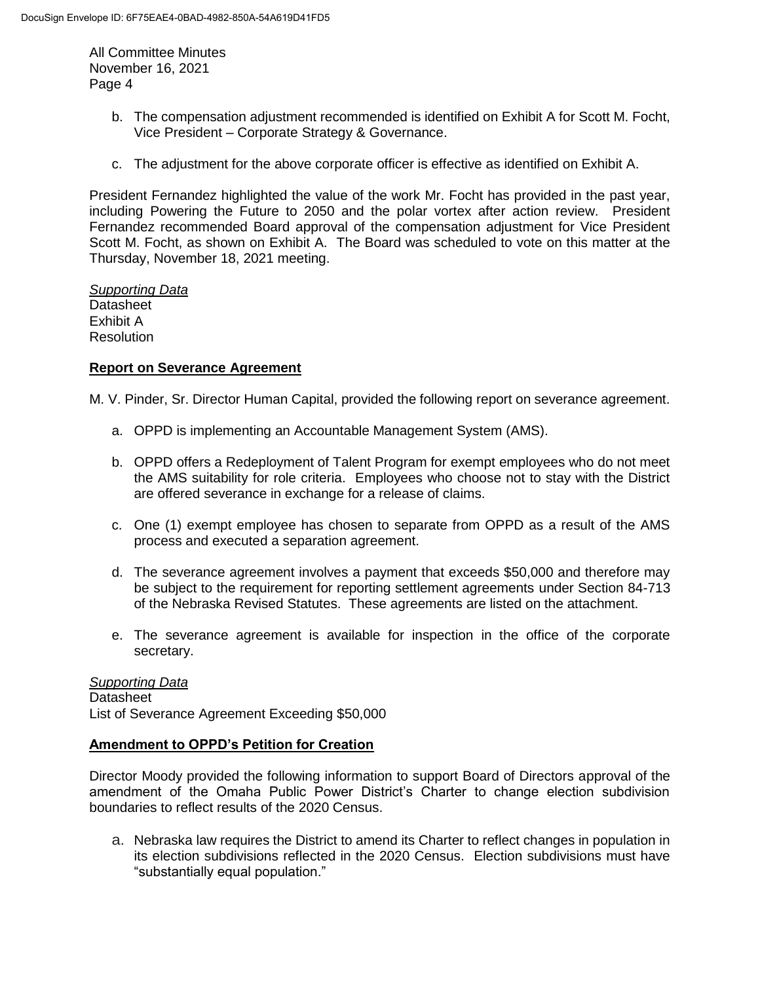- b. The compensation adjustment recommended is identified on Exhibit A for Scott M. Focht, Vice President – Corporate Strategy & Governance.
- c. The adjustment for the above corporate officer is effective as identified on Exhibit A.

President Fernandez highlighted the value of the work Mr. Focht has provided in the past year, including Powering the Future to 2050 and the polar vortex after action review. President Fernandez recommended Board approval of the compensation adjustment for Vice President Scott M. Focht, as shown on Exhibit A. The Board was scheduled to vote on this matter at the Thursday, November 18, 2021 meeting.

*Supporting Data* **Datasheet** Exhibit A **Resolution** 

### **Report on Severance Agreement**

M. V. Pinder, Sr. Director Human Capital, provided the following report on severance agreement.

- a. OPPD is implementing an Accountable Management System (AMS).
- b. OPPD offers a Redeployment of Talent Program for exempt employees who do not meet the AMS suitability for role criteria. Employees who choose not to stay with the District are offered severance in exchange for a release of claims.
- c. One (1) exempt employee has chosen to separate from OPPD as a result of the AMS process and executed a separation agreement.
- d. The severance agreement involves a payment that exceeds \$50,000 and therefore may be subject to the requirement for reporting settlement agreements under Section 84-713 of the Nebraska Revised Statutes. These agreements are listed on the attachment.
- e. The severance agreement is available for inspection in the office of the corporate secretary.

#### *Supporting Data*

**Datasheet** List of Severance Agreement Exceeding \$50,000

#### **Amendment to OPPD's Petition for Creation**

Director Moody provided the following information to support Board of Directors approval of the amendment of the Omaha Public Power District's Charter to change election subdivision boundaries to reflect results of the 2020 Census.

a. Nebraska law requires the District to amend its Charter to reflect changes in population in its election subdivisions reflected in the 2020 Census. Election subdivisions must have "substantially equal population."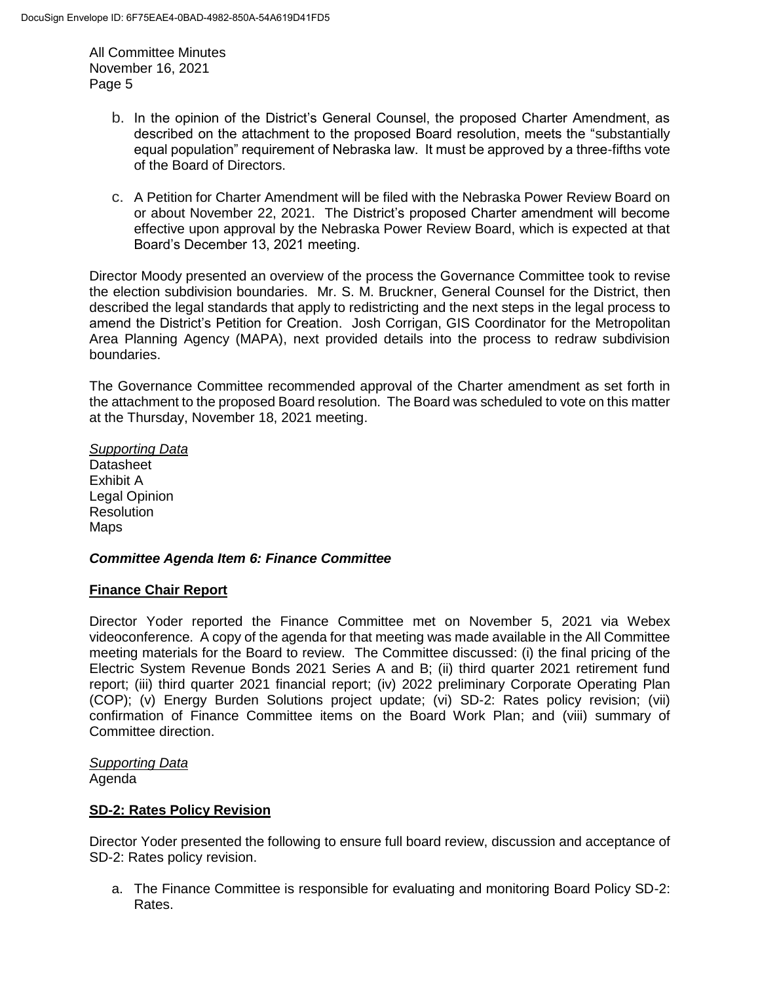- b. In the opinion of the District's General Counsel, the proposed Charter Amendment, as described on the attachment to the proposed Board resolution, meets the "substantially equal population" requirement of Nebraska law. It must be approved by a three-fifths vote of the Board of Directors.
- c. A Petition for Charter Amendment will be filed with the Nebraska Power Review Board on or about November 22, 2021. The District's proposed Charter amendment will become effective upon approval by the Nebraska Power Review Board, which is expected at that Board's December 13, 2021 meeting.

Director Moody presented an overview of the process the Governance Committee took to revise the election subdivision boundaries. Mr. S. M. Bruckner, General Counsel for the District, then described the legal standards that apply to redistricting and the next steps in the legal process to amend the District's Petition for Creation. Josh Corrigan, GIS Coordinator for the Metropolitan Area Planning Agency (MAPA), next provided details into the process to redraw subdivision boundaries.

The Governance Committee recommended approval of the Charter amendment as set forth in the attachment to the proposed Board resolution. The Board was scheduled to vote on this matter at the Thursday, November 18, 2021 meeting.

*Supporting Data* **Datasheet** Exhibit A Legal Opinion **Resolution** Maps

## *Committee Agenda Item 6: Finance Committee*

#### **Finance Chair Report**

Director Yoder reported the Finance Committee met on November 5, 2021 via Webex videoconference. A copy of the agenda for that meeting was made available in the All Committee meeting materials for the Board to review. The Committee discussed: (i) the final pricing of the Electric System Revenue Bonds 2021 Series A and B; (ii) third quarter 2021 retirement fund report; (iii) third quarter 2021 financial report; (iv) 2022 preliminary Corporate Operating Plan (COP); (v) Energy Burden Solutions project update; (vi) SD-2: Rates policy revision; (vii) confirmation of Finance Committee items on the Board Work Plan; and (viii) summary of Committee direction.

#### *Supporting Data*

Agenda

#### **SD-2: Rates Policy Revision**

Director Yoder presented the following to ensure full board review, discussion and acceptance of SD-2: Rates policy revision.

a. The Finance Committee is responsible for evaluating and monitoring Board Policy SD-2: Rates.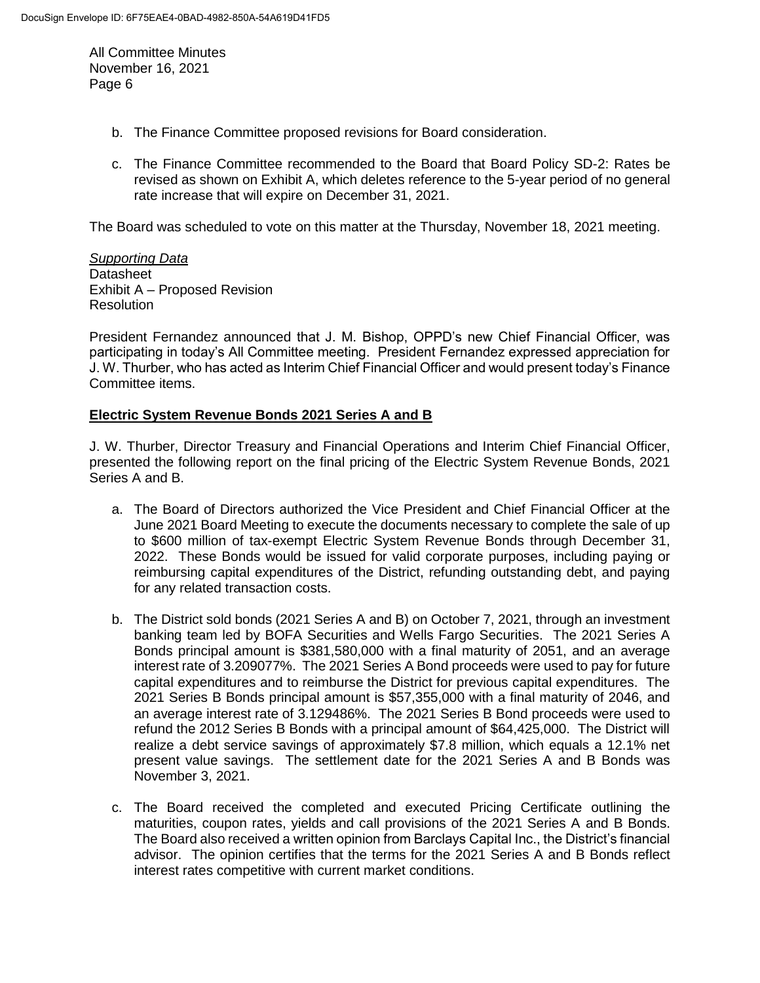- b. The Finance Committee proposed revisions for Board consideration.
- c. The Finance Committee recommended to the Board that Board Policy SD-2: Rates be revised as shown on Exhibit A, which deletes reference to the 5-year period of no general rate increase that will expire on December 31, 2021.

The Board was scheduled to vote on this matter at the Thursday, November 18, 2021 meeting.

*Supporting Data* **Datasheet** Exhibit A – Proposed Revision Resolution

President Fernandez announced that J. M. Bishop, OPPD's new Chief Financial Officer, was participating in today's All Committee meeting. President Fernandez expressed appreciation for J. W. Thurber, who has acted as Interim Chief Financial Officer and would present today's Finance Committee items.

### **Electric System Revenue Bonds 2021 Series A and B**

J. W. Thurber, Director Treasury and Financial Operations and Interim Chief Financial Officer, presented the following report on the final pricing of the Electric System Revenue Bonds, 2021 Series A and B.

- a. The Board of Directors authorized the Vice President and Chief Financial Officer at the June 2021 Board Meeting to execute the documents necessary to complete the sale of up to \$600 million of tax-exempt Electric System Revenue Bonds through December 31, 2022. These Bonds would be issued for valid corporate purposes, including paying or reimbursing capital expenditures of the District, refunding outstanding debt, and paying for any related transaction costs.
- b. The District sold bonds (2021 Series A and B) on October 7, 2021, through an investment banking team led by BOFA Securities and Wells Fargo Securities. The 2021 Series A Bonds principal amount is \$381,580,000 with a final maturity of 2051, and an average interest rate of 3.209077%. The 2021 Series A Bond proceeds were used to pay for future capital expenditures and to reimburse the District for previous capital expenditures. The 2021 Series B Bonds principal amount is \$57,355,000 with a final maturity of 2046, and an average interest rate of 3.129486%. The 2021 Series B Bond proceeds were used to refund the 2012 Series B Bonds with a principal amount of \$64,425,000. The District will realize a debt service savings of approximately \$7.8 million, which equals a 12.1% net present value savings. The settlement date for the 2021 Series A and B Bonds was November 3, 2021.
- c. The Board received the completed and executed Pricing Certificate outlining the maturities, coupon rates, yields and call provisions of the 2021 Series A and B Bonds. The Board also received a written opinion from Barclays Capital Inc., the District's financial advisor. The opinion certifies that the terms for the 2021 Series A and B Bonds reflect interest rates competitive with current market conditions.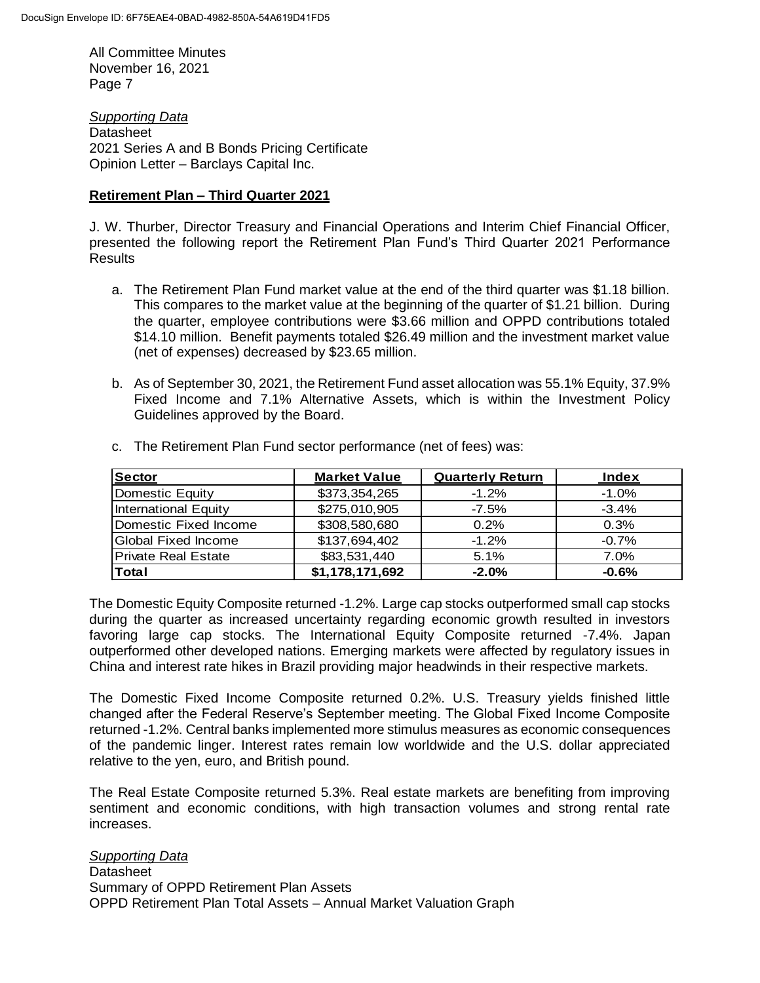*Supporting Data* **Datasheet** 2021 Series A and B Bonds Pricing Certificate Opinion Letter – Barclays Capital Inc.

#### **Retirement Plan – Third Quarter 2021**

J. W. Thurber, Director Treasury and Financial Operations and Interim Chief Financial Officer, presented the following report the Retirement Plan Fund's Third Quarter 2021 Performance Results

- a. The Retirement Plan Fund market value at the end of the third quarter was \$1.18 billion. This compares to the market value at the beginning of the quarter of \$1.21 billion. During the quarter, employee contributions were \$3.66 million and OPPD contributions totaled \$14.10 million. Benefit payments totaled \$26.49 million and the investment market value (net of expenses) decreased by \$23.65 million.
- b. As of September 30, 2021, the Retirement Fund asset allocation was 55.1% Equity, 37.9% Fixed Income and 7.1% Alternative Assets, which is within the Investment Policy Guidelines approved by the Board.

| <b>Sector</b>                                                                                                                                                                                                                                                                                                                                                                                                                                                                                                                                                                                                                                                                                                                                                                                                                                                                                                                                                                                                                                                                                                                                             | <b>Market Value</b> | <b>Quarterly Return</b> | <b>Index</b> |  |
|-----------------------------------------------------------------------------------------------------------------------------------------------------------------------------------------------------------------------------------------------------------------------------------------------------------------------------------------------------------------------------------------------------------------------------------------------------------------------------------------------------------------------------------------------------------------------------------------------------------------------------------------------------------------------------------------------------------------------------------------------------------------------------------------------------------------------------------------------------------------------------------------------------------------------------------------------------------------------------------------------------------------------------------------------------------------------------------------------------------------------------------------------------------|---------------------|-------------------------|--------------|--|
| Domestic Equity                                                                                                                                                                                                                                                                                                                                                                                                                                                                                                                                                                                                                                                                                                                                                                                                                                                                                                                                                                                                                                                                                                                                           | \$373,354,265       | $-1.2%$                 | $-1.0%$      |  |
| <b>International Equity</b>                                                                                                                                                                                                                                                                                                                                                                                                                                                                                                                                                                                                                                                                                                                                                                                                                                                                                                                                                                                                                                                                                                                               | \$275,010,905       | $-7.5%$                 | $-3.4%$      |  |
| Domestic Fixed Income                                                                                                                                                                                                                                                                                                                                                                                                                                                                                                                                                                                                                                                                                                                                                                                                                                                                                                                                                                                                                                                                                                                                     | \$308,580,680       | 0.2%                    | 0.3%         |  |
| <b>Global Fixed Income</b>                                                                                                                                                                                                                                                                                                                                                                                                                                                                                                                                                                                                                                                                                                                                                                                                                                                                                                                                                                                                                                                                                                                                | \$137,694,402       | $-1.2%$                 | $-0.7%$      |  |
| <b>Private Real Estate</b>                                                                                                                                                                                                                                                                                                                                                                                                                                                                                                                                                                                                                                                                                                                                                                                                                                                                                                                                                                                                                                                                                                                                | \$83,531,440        | 5.1%                    | 7.0%         |  |
| Total                                                                                                                                                                                                                                                                                                                                                                                                                                                                                                                                                                                                                                                                                                                                                                                                                                                                                                                                                                                                                                                                                                                                                     | \$1,178,171,692     | $-2.0%$                 | $-0.6%$      |  |
| The Domestic Equity Composite returned -1.2%. Large cap stocks outperformed small cap stocks<br>during the quarter as increased uncertainty regarding economic growth resulted in investors<br>favoring large cap stocks. The International Equity Composite returned -7.4%. Japan<br>outperformed other developed nations. Emerging markets were affected by regulatory issues in<br>China and interest rate hikes in Brazil providing major headwinds in their respective markets.<br>The Domestic Fixed Income Composite returned 0.2%. U.S. Treasury yields finished little<br>changed after the Federal Reserve's September meeting. The Global Fixed Income Composite<br>returned -1.2%. Central banks implemented more stimulus measures as economic consequences<br>of the pandemic linger. Interest rates remain low worldwide and the U.S. dollar appreciated<br>relative to the yen, euro, and British pound.<br>The Real Estate Composite returned 5.3%. Real estate markets are benefiting from improving<br>sentiment and economic conditions, with high transaction volumes and strong rental rate<br>increases.<br><b>Supporting Data</b> |                     |                         |              |  |
| Datasheet                                                                                                                                                                                                                                                                                                                                                                                                                                                                                                                                                                                                                                                                                                                                                                                                                                                                                                                                                                                                                                                                                                                                                 |                     |                         |              |  |
| Summary of OPPD Retirement Plan Assets                                                                                                                                                                                                                                                                                                                                                                                                                                                                                                                                                                                                                                                                                                                                                                                                                                                                                                                                                                                                                                                                                                                    |                     |                         |              |  |
| OPPD Retirement Plan Total Assets - Annual Market Valuation Graph                                                                                                                                                                                                                                                                                                                                                                                                                                                                                                                                                                                                                                                                                                                                                                                                                                                                                                                                                                                                                                                                                         |                     |                         |              |  |

c. The Retirement Plan Fund sector performance (net of fees) was: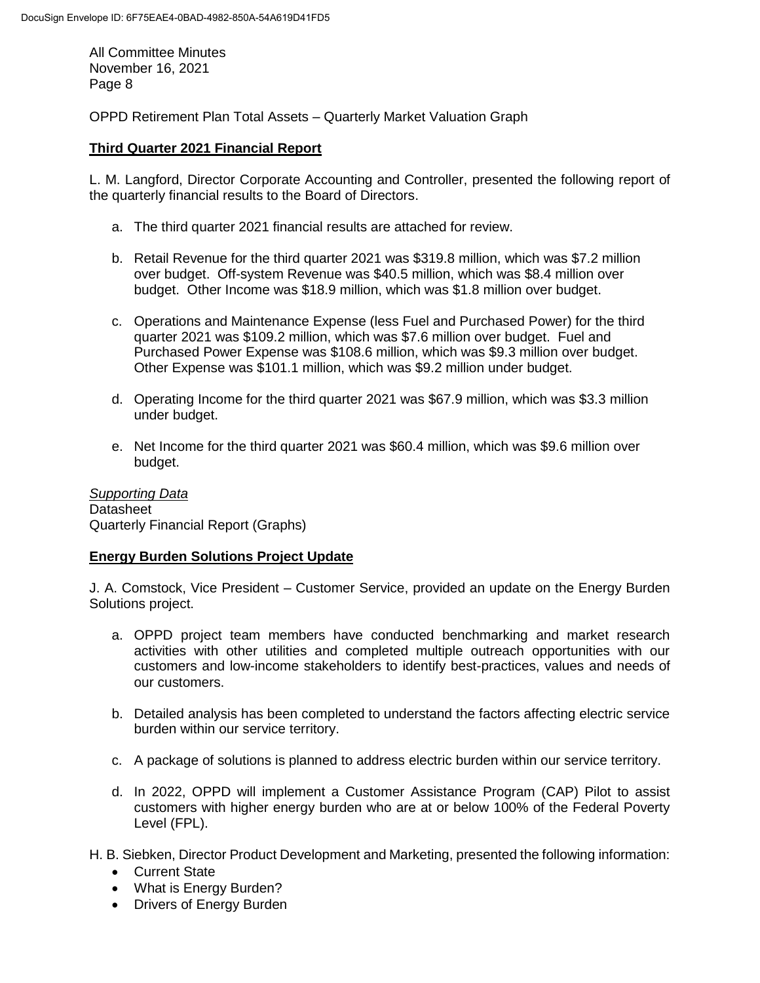OPPD Retirement Plan Total Assets – Quarterly Market Valuation Graph

## **Third Quarter 2021 Financial Report**

L. M. Langford, Director Corporate Accounting and Controller, presented the following report of the quarterly financial results to the Board of Directors.

- a. The third quarter 2021 financial results are attached for review.
- b. Retail Revenue for the third quarter 2021 was \$319.8 million, which was \$7.2 million over budget. Off-system Revenue was \$40.5 million, which was \$8.4 million over budget. Other Income was \$18.9 million, which was \$1.8 million over budget.
- c. Operations and Maintenance Expense (less Fuel and Purchased Power) for the third quarter 2021 was \$109.2 million, which was \$7.6 million over budget. Fuel and Purchased Power Expense was \$108.6 million, which was \$9.3 million over budget. Other Expense was \$101.1 million, which was \$9.2 million under budget.
- d. Operating Income for the third quarter 2021 was \$67.9 million, which was \$3.3 million under budget.
- e. Net Income for the third quarter 2021 was \$60.4 million, which was \$9.6 million over budget.

*Supporting Data* **Datasheet** Quarterly Financial Report (Graphs)

## **Energy Burden Solutions Project Update**

J. A. Comstock, Vice President – Customer Service, provided an update on the Energy Burden Solutions project.

- a. OPPD project team members have conducted benchmarking and market research activities with other utilities and completed multiple outreach opportunities with our customers and low-income stakeholders to identify best-practices, values and needs of our customers.
- b. Detailed analysis has been completed to understand the factors affecting electric service burden within our service territory.
- c. A package of solutions is planned to address electric burden within our service territory.
- d. In 2022, OPPD will implement a Customer Assistance Program (CAP) Pilot to assist customers with higher energy burden who are at or below 100% of the Federal Poverty Level (FPL).

H. B. Siebken, Director Product Development and Marketing, presented the following information:

- Current State
- What is Energy Burden?
- Drivers of Energy Burden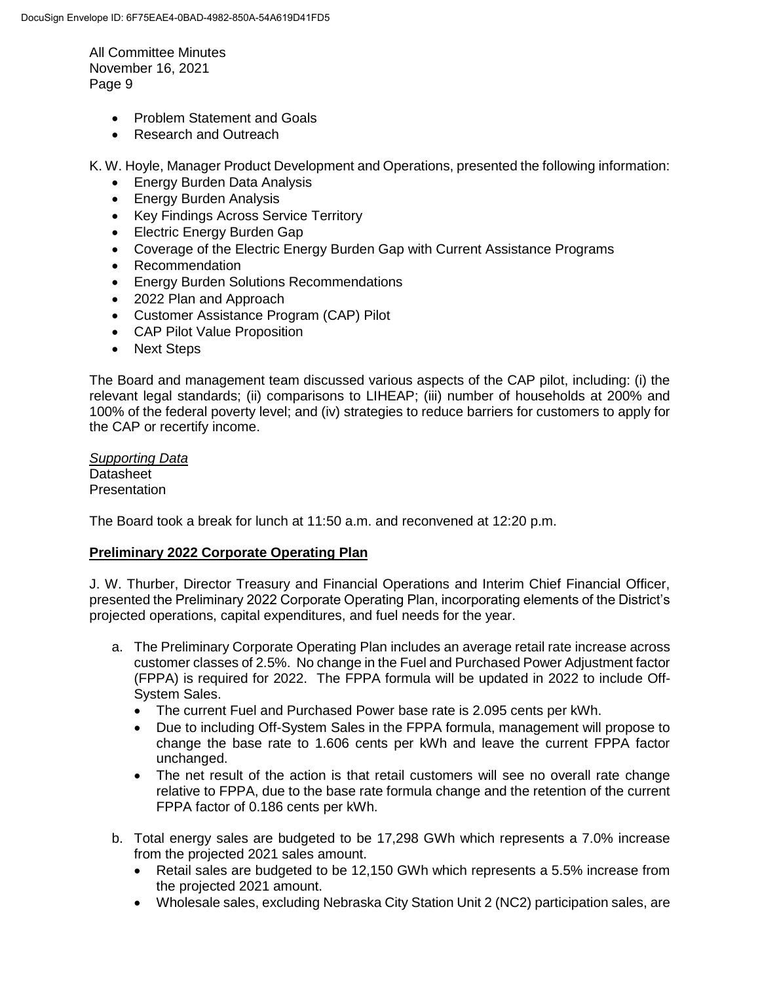- Problem Statement and Goals
- Research and Outreach

K. W. Hoyle, Manager Product Development and Operations, presented the following information:

- Energy Burden Data Analysis
- Energy Burden Analysis
- Key Findings Across Service Territory
- Electric Energy Burden Gap
- Coverage of the Electric Energy Burden Gap with Current Assistance Programs
- Recommendation
- Energy Burden Solutions Recommendations
- 2022 Plan and Approach
- Customer Assistance Program (CAP) Pilot
- CAP Pilot Value Proposition
- Next Steps

The Board and management team discussed various aspects of the CAP pilot, including: (i) the relevant legal standards; (ii) comparisons to LIHEAP; (iii) number of households at 200% and 100% of the federal poverty level; and (iv) strategies to reduce barriers for customers to apply for the CAP or recertify income.

*Supporting Data* **Datasheet Presentation** 

The Board took a break for lunch at 11:50 a.m. and reconvened at 12:20 p.m.

#### **Preliminary 2022 Corporate Operating Plan**

J. W. Thurber, Director Treasury and Financial Operations and Interim Chief Financial Officer, presented the Preliminary 2022 Corporate Operating Plan, incorporating elements of the District's projected operations, capital expenditures, and fuel needs for the year.

- a. The Preliminary Corporate Operating Plan includes an average retail rate increase across customer classes of 2.5%. No change in the Fuel and Purchased Power Adjustment factor (FPPA) is required for 2022. The FPPA formula will be updated in 2022 to include Off-System Sales.
	- The current Fuel and Purchased Power base rate is 2.095 cents per kWh.
	- Due to including Off-System Sales in the FPPA formula, management will propose to change the base rate to 1.606 cents per kWh and leave the current FPPA factor unchanged.
	- The net result of the action is that retail customers will see no overall rate change relative to FPPA, due to the base rate formula change and the retention of the current FPPA factor of 0.186 cents per kWh.
- b. Total energy sales are budgeted to be 17,298 GWh which represents a 7.0% increase from the projected 2021 sales amount.
	- Retail sales are budgeted to be 12,150 GWh which represents a 5.5% increase from the projected 2021 amount.
	- Wholesale sales, excluding Nebraska City Station Unit 2 (NC2) participation sales, are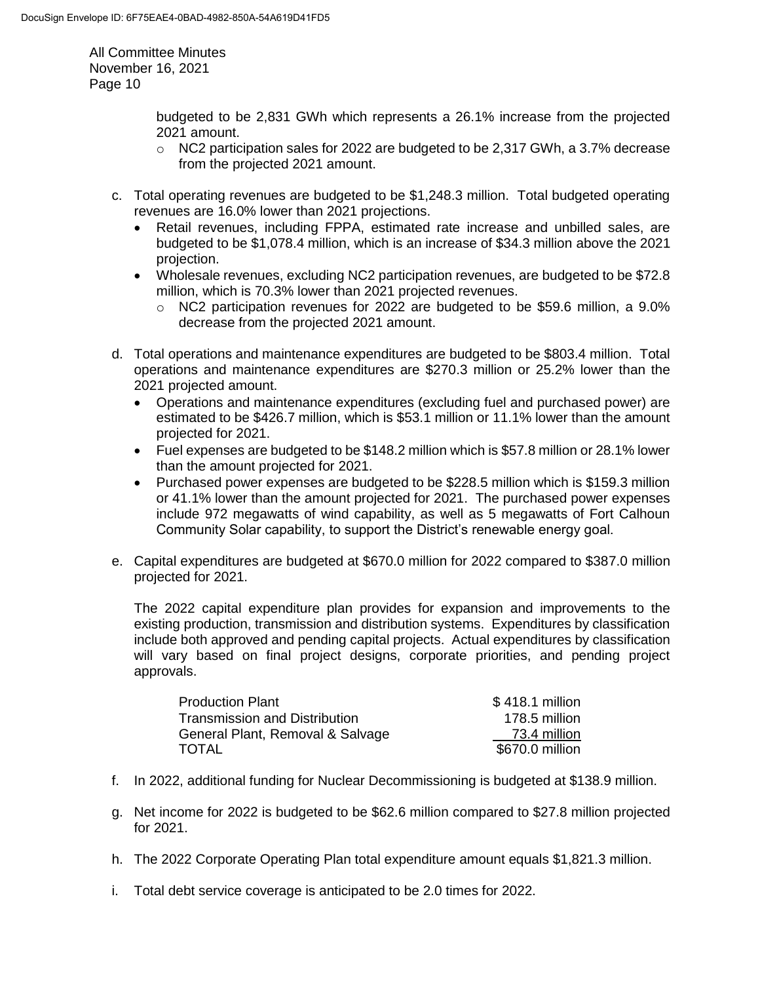> budgeted to be 2,831 GWh which represents a 26.1% increase from the projected 2021 amount.

- $\circ$  NC2 participation sales for 2022 are budgeted to be 2,317 GWh, a 3.7% decrease from the projected 2021 amount.
- c. Total operating revenues are budgeted to be \$1,248.3 million. Total budgeted operating revenues are 16.0% lower than 2021 projections.
	- Retail revenues, including FPPA, estimated rate increase and unbilled sales, are budgeted to be \$1,078.4 million, which is an increase of \$34.3 million above the 2021 projection.
	- Wholesale revenues, excluding NC2 participation revenues, are budgeted to be \$72.8 million, which is 70.3% lower than 2021 projected revenues.
		- $\circ$  NC2 participation revenues for 2022 are budgeted to be \$59.6 million, a 9.0% decrease from the projected 2021 amount.
- d. Total operations and maintenance expenditures are budgeted to be \$803.4 million. Total operations and maintenance expenditures are \$270.3 million or 25.2% lower than the 2021 projected amount.
	- Operations and maintenance expenditures (excluding fuel and purchased power) are estimated to be \$426.7 million, which is \$53.1 million or 11.1% lower than the amount projected for 2021.
	- Fuel expenses are budgeted to be \$148.2 million which is \$57.8 million or 28.1% lower than the amount projected for 2021.
	- Purchased power expenses are budgeted to be \$228.5 million which is \$159.3 million or 41.1% lower than the amount projected for 2021. The purchased power expenses include 972 megawatts of wind capability, as well as 5 megawatts of Fort Calhoun Community Solar capability, to support the District's renewable energy goal.
- e. Capital expenditures are budgeted at \$670.0 million for 2022 compared to \$387.0 million projected for 2021.

The 2022 capital expenditure plan provides for expansion and improvements to the existing production, transmission and distribution systems. Expenditures by classification include both approved and pending capital projects. Actual expenditures by classification will vary based on final project designs, corporate priorities, and pending project approvals.

| <b>Production Plant</b>          | \$418.1 million |
|----------------------------------|-----------------|
| Transmission and Distribution    | 178.5 million   |
| General Plant, Removal & Salvage | 73.4 million    |
| <b>TOTAL</b>                     | \$670.0 million |

- f. In 2022, additional funding for Nuclear Decommissioning is budgeted at \$138.9 million.
- g. Net income for 2022 is budgeted to be \$62.6 million compared to \$27.8 million projected for 2021.
- h. The 2022 Corporate Operating Plan total expenditure amount equals \$1,821.3 million.
- i. Total debt service coverage is anticipated to be 2.0 times for 2022.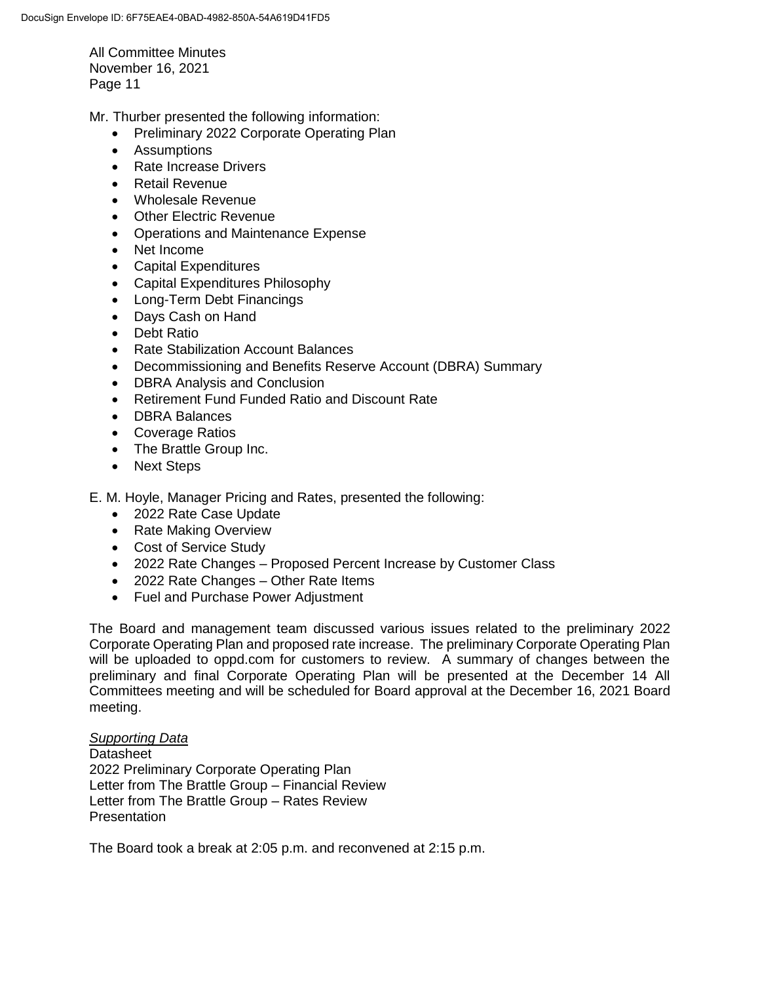Mr. Thurber presented the following information:

- Preliminary 2022 Corporate Operating Plan
- **•** Assumptions
- Rate Increase Drivers
- Retail Revenue
- Wholesale Revenue
- Other Electric Revenue
- Operations and Maintenance Expense
- Net Income
- Capital Expenditures
- Capital Expenditures Philosophy
- Long-Term Debt Financings
- Days Cash on Hand
- Debt Ratio
- Rate Stabilization Account Balances
- Decommissioning and Benefits Reserve Account (DBRA) Summary
- DBRA Analysis and Conclusion
- Retirement Fund Funded Ratio and Discount Rate
- DBRA Balances
- Coverage Ratios
- The Brattle Group Inc.
- Next Steps

E. M. Hoyle, Manager Pricing and Rates, presented the following:

- 2022 Rate Case Update
- Rate Making Overview
- Cost of Service Study
- 2022 Rate Changes Proposed Percent Increase by Customer Class
- 2022 Rate Changes Other Rate Items
- Fuel and Purchase Power Adjustment

The Board and management team discussed various issues related to the preliminary 2022 Corporate Operating Plan and proposed rate increase. The preliminary Corporate Operating Plan will be uploaded to oppd.com for customers to review. A summary of changes between the preliminary and final Corporate Operating Plan will be presented at the December 14 All Committees meeting and will be scheduled for Board approval at the December 16, 2021 Board meeting.

## *Supporting Data*

**Datasheet** 2022 Preliminary Corporate Operating Plan Letter from The Brattle Group – Financial Review Letter from The Brattle Group – Rates Review **Presentation** 

The Board took a break at 2:05 p.m. and reconvened at 2:15 p.m.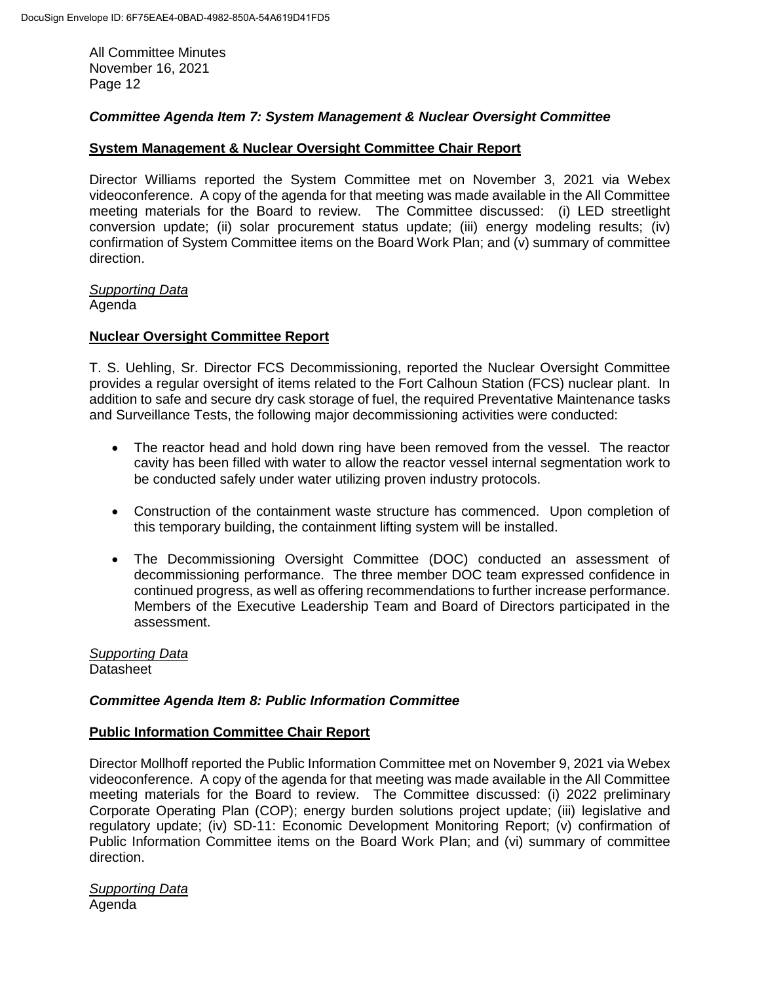## *Committee Agenda Item 7: System Management & Nuclear Oversight Committee*

### **System Management & Nuclear Oversight Committee Chair Report**

Director Williams reported the System Committee met on November 3, 2021 via Webex videoconference. A copy of the agenda for that meeting was made available in the All Committee meeting materials for the Board to review. The Committee discussed: (i) LED streetlight conversion update; (ii) solar procurement status update; (iii) energy modeling results; (iv) confirmation of System Committee items on the Board Work Plan; and (v) summary of committee direction.

# *Supporting Data*

Agenda

### **Nuclear Oversight Committee Report**

T. S. Uehling, Sr. Director FCS Decommissioning, reported the Nuclear Oversight Committee provides a regular oversight of items related to the Fort Calhoun Station (FCS) nuclear plant. In addition to safe and secure dry cask storage of fuel, the required Preventative Maintenance tasks and Surveillance Tests, the following major decommissioning activities were conducted:

- The reactor head and hold down ring have been removed from the vessel. The reactor cavity has been filled with water to allow the reactor vessel internal segmentation work to be conducted safely under water utilizing proven industry protocols.
- Construction of the containment waste structure has commenced. Upon completion of this temporary building, the containment lifting system will be installed.
- The Decommissioning Oversight Committee (DOC) conducted an assessment of decommissioning performance. The three member DOC team expressed confidence in continued progress, as well as offering recommendations to further increase performance. Members of the Executive Leadership Team and Board of Directors participated in the assessment.

*Supporting Data* **Datasheet** 

#### *Committee Agenda Item 8: Public Information Committee*

#### **Public Information Committee Chair Report**

Director Mollhoff reported the Public Information Committee met on November 9, 2021 via Webex videoconference. A copy of the agenda for that meeting was made available in the All Committee meeting materials for the Board to review. The Committee discussed: (i) 2022 preliminary Corporate Operating Plan (COP); energy burden solutions project update; (iii) legislative and regulatory update; (iv) SD-11: Economic Development Monitoring Report; (v) confirmation of Public Information Committee items on the Board Work Plan; and (vi) summary of committee direction.

*Supporting Data* Agenda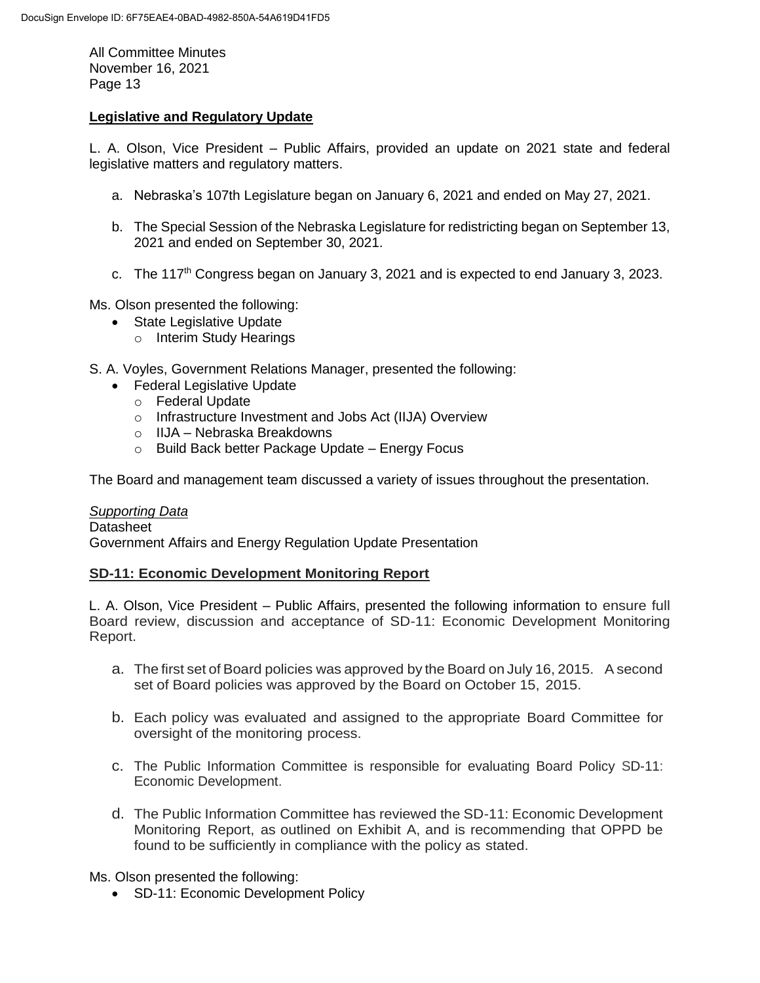## **Legislative and Regulatory Update**

L. A. Olson, Vice President – Public Affairs, provided an update on 2021 state and federal legislative matters and regulatory matters.

- a. Nebraska's 107th Legislature began on January 6, 2021 and ended on May 27, 2021.
- b. The Special Session of the Nebraska Legislature for redistricting began on September 13, 2021 and ended on September 30, 2021.
- c. The 117<sup>th</sup> Congress began on January 3, 2021 and is expected to end January 3, 2023.

Ms. Olson presented the following:

- State Legislative Update
	- o Interim Study Hearings
- S. A. Voyles, Government Relations Manager, presented the following:
	- Federal Legislative Update
		- o Federal Update
		- o Infrastructure Investment and Jobs Act (IIJA) Overview
		- o IIJA Nebraska Breakdowns
		- o Build Back better Package Update Energy Focus

The Board and management team discussed a variety of issues throughout the presentation.

*Supporting Data* **Datasheet** Government Affairs and Energy Regulation Update Presentation

#### **SD-11: Economic Development Monitoring Report**

L. A. Olson, Vice President – Public Affairs, presented the following information to ensure full Board review, discussion and acceptance of SD-11: Economic Development Monitoring Report.

- a. The first set of Board policies was approved by the Board on July 16, 2015. A second set of Board policies was approved by the Board on October 15, 2015.
- b. Each policy was evaluated and assigned to the appropriate Board Committee for oversight of the monitoring process.
- c. The Public Information Committee is responsible for evaluating Board Policy SD-11: Economic Development.
- d. The Public Information Committee has reviewed the SD-11: Economic Development Monitoring Report, as outlined on Exhibit A, and is recommending that OPPD be found to be sufficiently in compliance with the policy as stated.

Ms. Olson presented the following:

• SD-11: Economic Development Policy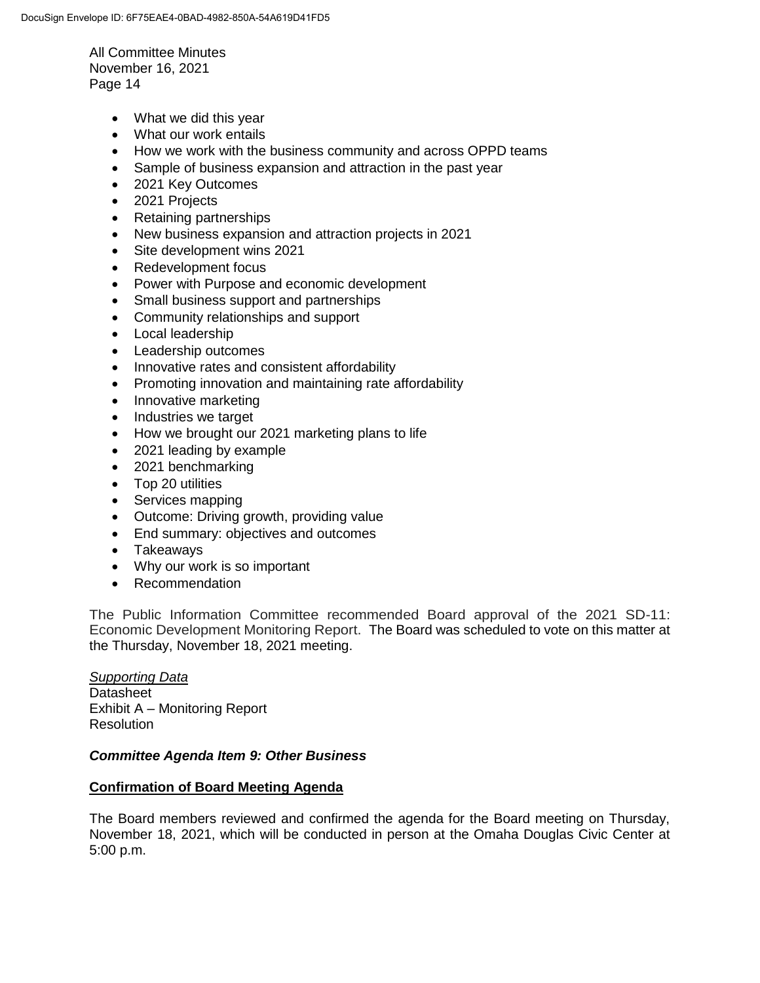- What we did this year
- What our work entails
- How we work with the business community and across OPPD teams
- Sample of business expansion and attraction in the past year
- 2021 Key Outcomes
- 2021 Projects
- Retaining partnerships
- New business expansion and attraction projects in 2021
- Site development wins 2021
- Redevelopment focus
- Power with Purpose and economic development
- Small business support and partnerships
- Community relationships and support
- Local leadership
- Leadership outcomes
- Innovative rates and consistent affordability
- Promoting innovation and maintaining rate affordability
- Innovative marketing
- Industries we target
- How we brought our 2021 marketing plans to life
- 2021 leading by example
- 2021 benchmarking
- Top 20 utilities
- Services mapping
- Outcome: Driving growth, providing value
- End summary: objectives and outcomes
- Takeaways
- Why our work is so important
- Recommendation

The Public Information Committee recommended Board approval of the 2021 SD-11: Economic Development Monitoring Report. The Board was scheduled to vote on this matter at the Thursday, November 18, 2021 meeting.

*Supporting Data* Datasheet Exhibit A – Monitoring Report **Resolution** 

#### *Committee Agenda Item 9: Other Business*

#### **Confirmation of Board Meeting Agenda**

The Board members reviewed and confirmed the agenda for the Board meeting on Thursday, November 18, 2021, which will be conducted in person at the Omaha Douglas Civic Center at 5:00 p.m.